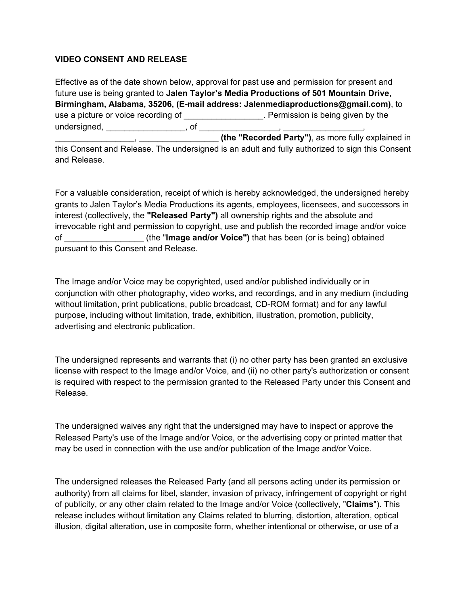## **VIDEO CONSENT AND RELEASE**

Effective as of the date shown below, approval for past use and permission for present and future use is being granted to **Jalen Taylor's Media Productions of 501 Mountain Drive, Birmingham, Alabama, 35206, (E-mail address: Jalenmediaproductions@gmail.com)**, to use a picture or voice recording of **with a set of the set of the set of the set of the set of the set of the set of the set of the set of the set of the set of the set of the set of the set of the set of the set of the se** undersigned, \_\_\_\_\_\_\_\_\_\_\_\_\_\_\_\_\_\_\_\_, of \_\_\_\_\_\_ \_\_\_\_\_\_\_\_\_\_\_\_\_\_\_\_\_, \_\_\_\_\_\_\_\_\_\_\_\_\_\_\_\_\_ **(the "Recorded Party")**, as more fully explained in this Consent and Release. The undersigned is an adult and fully authorized to sign this Consent and Release.

For a valuable consideration, receipt of which is hereby acknowledged, the undersigned hereby grants to Jalen Taylor's Media Productions its agents, employees, licensees, and successors in interest (collectively, the **"Released Party")** all ownership rights and the absolute and irrevocable right and permission to copyright, use and publish the recorded image and/or voice of \_\_\_\_\_\_\_\_\_\_\_\_\_\_\_\_\_ (the "**Image and/or Voice")** that has been (or is being) obtained pursuant to this Consent and Release.

The Image and/or Voice may be copyrighted, used and/or published individually or in conjunction with other photography, video works, and recordings, and in any medium (including without limitation, print publications, public broadcast, CD-ROM format) and for any lawful purpose, including without limitation, trade, exhibition, illustration, promotion, publicity, advertising and electronic publication.

The undersigned represents and warrants that (i) no other party has been granted an exclusive license with respect to the Image and/or Voice, and (ii) no other party's authorization or consent is required with respect to the permission granted to the Released Party under this Consent and Release.

The undersigned waives any right that the undersigned may have to inspect or approve the Released Party's use of the Image and/or Voice, or the advertising copy or printed matter that may be used in connection with the use and/or publication of the Image and/or Voice.

The undersigned releases the Released Party (and all persons acting under its permission or authority) from all claims for libel, slander, invasion of privacy, infringement of copyright or right of publicity, or any other claim related to the Image and/or Voice (collectively, "**Claims**"). This release includes without limitation any Claims related to blurring, distortion, alteration, optical illusion, digital alteration, use in composite form, whether intentional or otherwise, or use of a